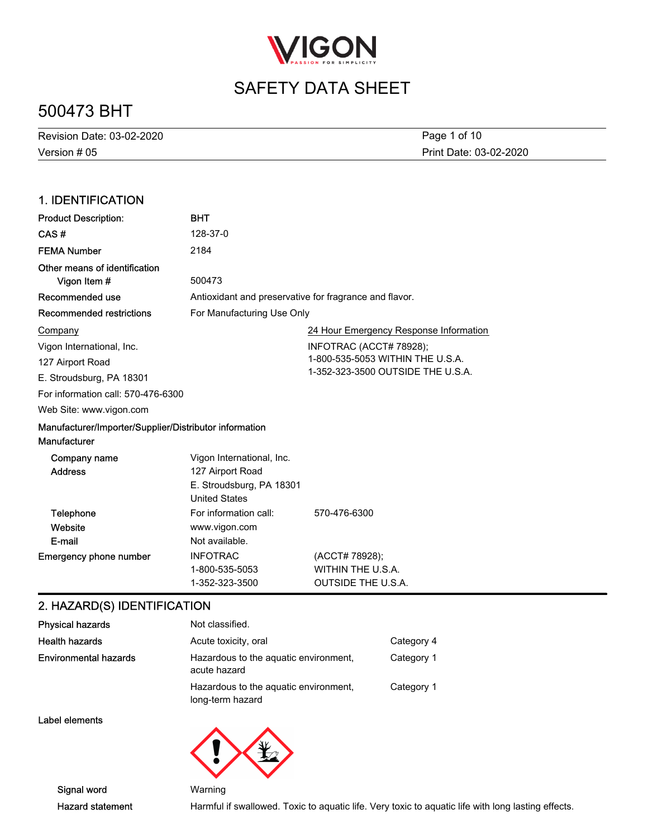

# 500473 BHT

| Revision Date: 03-02-2020 | Page 1 of 10           |
|---------------------------|------------------------|
| Version # 05              | Print Date: 03-02-2020 |

### 1. IDENTIFICATION

| <b>Product Description:</b>                                            | <b>BHT</b>                                                                                        |                                                                                                  |
|------------------------------------------------------------------------|---------------------------------------------------------------------------------------------------|--------------------------------------------------------------------------------------------------|
| CAS#                                                                   | 128-37-0                                                                                          |                                                                                                  |
| <b>FEMA Number</b>                                                     | 2184                                                                                              |                                                                                                  |
| Other means of identification<br>Vigon Item #                          | 500473                                                                                            |                                                                                                  |
| Recommended use                                                        | Antioxidant and preservative for fragrance and flavor.                                            |                                                                                                  |
| <b>Recommended restrictions</b>                                        | For Manufacturing Use Only                                                                        |                                                                                                  |
| Company                                                                |                                                                                                   | 24 Hour Emergency Response Information                                                           |
| Vigon International, Inc.<br>127 Airport Road                          |                                                                                                   | INFOTRAC (ACCT# 78928);<br>1-800-535-5053 WITHIN THE U.S.A.<br>1-352-323-3500 OUTSIDE THE U.S.A. |
| E. Stroudsburg, PA 18301                                               |                                                                                                   |                                                                                                  |
| For information call: 570-476-6300                                     |                                                                                                   |                                                                                                  |
| Web Site: www.vigon.com                                                |                                                                                                   |                                                                                                  |
| Manufacturer/Importer/Supplier/Distributor information<br>Manufacturer |                                                                                                   |                                                                                                  |
| Company name<br><b>Address</b>                                         | Vigon International, Inc.<br>127 Airport Road<br>E. Stroudsburg, PA 18301<br><b>United States</b> |                                                                                                  |
| Telephone                                                              | For information call:                                                                             | 570-476-6300                                                                                     |
| Website                                                                | www.vigon.com                                                                                     |                                                                                                  |
| E-mail                                                                 | Not available.                                                                                    |                                                                                                  |
| <b>Emergency phone number</b>                                          | <b>INFOTRAC</b><br>1-800-535-5053<br>1-352-323-3500                                               | (ACCT# 78928);<br>WITHIN THE U.S.A.<br><b>OUTSIDE THE U.S.A.</b>                                 |

### 2. HAZARD(S) IDENTIFICATION

| <b>Physical hazards</b>      | Not classified.                                           |            |
|------------------------------|-----------------------------------------------------------|------------|
| <b>Health hazards</b>        | Acute toxicity, oral                                      | Category 4 |
| <b>Environmental hazards</b> | Hazardous to the aquatic environment.<br>acute hazard     | Category 1 |
|                              | Hazardous to the aquatic environment,<br>long-term hazard | Category 1 |
| Label elements               |                                                           |            |

Signal word Warning

Hazard statement Harmful if swallowed. Toxic to aquatic life. Very toxic to aquatic life with long lasting effects.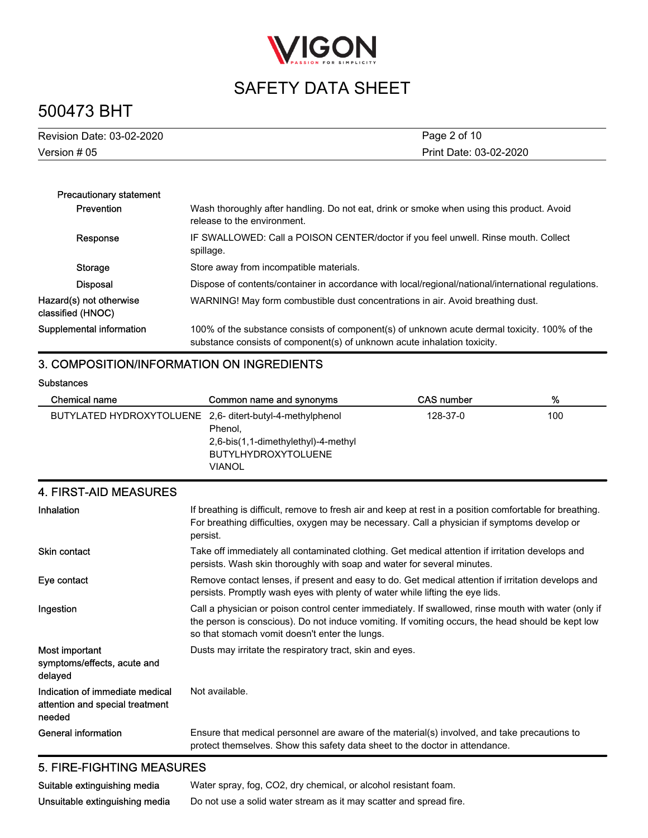

# 500473 BHT

| Print Date: 03-02-2020 | Revision Date: 03-02-2020 | Page 2 of 10 |
|------------------------|---------------------------|--------------|
|                        | Version # 05              |              |

| <b>Precautionary statement</b>               |                                                                                                                                                                          |
|----------------------------------------------|--------------------------------------------------------------------------------------------------------------------------------------------------------------------------|
| Prevention                                   | Wash thoroughly after handling. Do not eat, drink or smoke when using this product. Avoid<br>release to the environment.                                                 |
| Response                                     | IF SWALLOWED: Call a POISON CENTER/doctor if you feel unwell. Rinse mouth. Collect<br>spillage.                                                                          |
| Storage                                      | Store away from incompatible materials.                                                                                                                                  |
| <b>Disposal</b>                              | Dispose of contents/container in accordance with local/regional/national/international regulations.                                                                      |
| Hazard(s) not otherwise<br>classified (HNOC) | WARNING! May form combustible dust concentrations in air. Avoid breathing dust.                                                                                          |
| Supplemental information                     | 100% of the substance consists of component(s) of unknown acute dermal toxicity. 100% of the<br>substance consists of component(s) of unknown acute inhalation toxicity. |

### 3. COMPOSITION/INFORMATION ON INGREDIENTS

#### **Substances**

| Chemical name                                             | Common name and synonyms                                                                      | CAS number | %   |
|-----------------------------------------------------------|-----------------------------------------------------------------------------------------------|------------|-----|
| BUTYLATED HYDROXYTOLUENE 2,6- ditert-butyl-4-methylphenol | Phenol.<br>2,6-bis(1,1-dimethylethyl)-4-methyl<br><b>BUTYLHYDROXYTOLUENE</b><br><b>VIANOL</b> | 128-37-0   | 100 |

### 4. FIRST-AID MEASURES

| Inhalation                                                                   | If breathing is difficult, remove to fresh air and keep at rest in a position comfortable for breathing.<br>For breathing difficulties, oxygen may be necessary. Call a physician if symptoms develop or<br>persist.                                        |
|------------------------------------------------------------------------------|-------------------------------------------------------------------------------------------------------------------------------------------------------------------------------------------------------------------------------------------------------------|
| <b>Skin contact</b>                                                          | Take off immediately all contaminated clothing. Get medical attention if irritation develops and<br>persists. Wash skin thoroughly with soap and water for several minutes.                                                                                 |
| Eye contact                                                                  | Remove contact lenses, if present and easy to do. Get medical attention if irritation develops and<br>persists. Promptly wash eyes with plenty of water while lifting the eye lids.                                                                         |
| Ingestion                                                                    | Call a physician or poison control center immediately. If swallowed, rinse mouth with water (only if<br>the person is conscious). Do not induce vomiting. If vomiting occurs, the head should be kept low<br>so that stomach vomit doesn't enter the lungs. |
| Most important<br>symptoms/effects, acute and<br>delayed                     | Dusts may irritate the respiratory tract, skin and eyes.                                                                                                                                                                                                    |
| Indication of immediate medical<br>attention and special treatment<br>needed | Not available.                                                                                                                                                                                                                                              |
| <b>General information</b>                                                   | Ensure that medical personnel are aware of the material(s) involved, and take precautions to<br>protect themselves. Show this safety data sheet to the doctor in attendance.                                                                                |

### 5. FIRE-FIGHTING MEASURES

Suitable extinguishing media Water spray, fog, CO2, dry chemical, or alcohol resistant foam. Unsuitable extinguishing media Do not use a solid water stream as it may scatter and spread fire.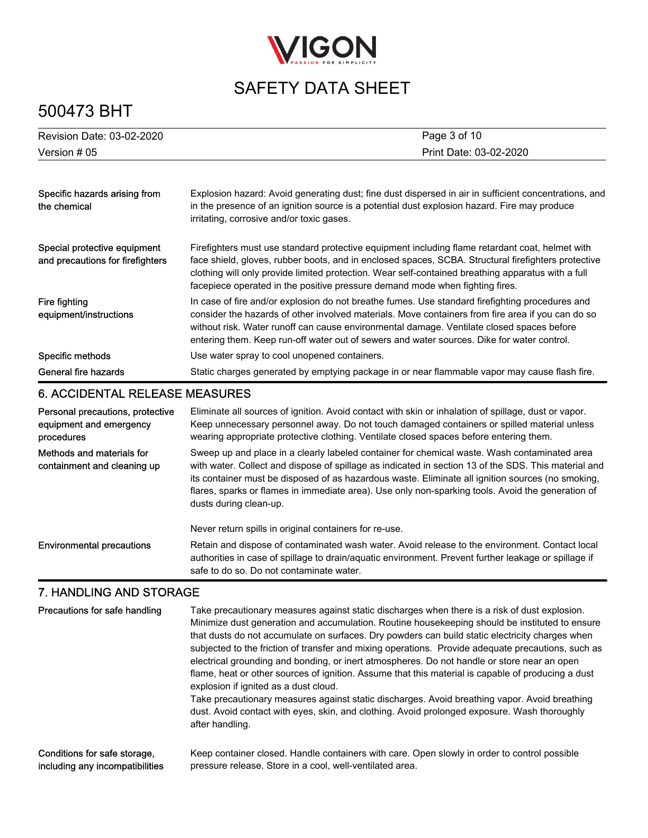

# 500473 BHT

| Revision Date: 03-02-2020                                                 | Page 3 of 10                                                                                                                                                                                                                                                                                                                                                                                    |  |
|---------------------------------------------------------------------------|-------------------------------------------------------------------------------------------------------------------------------------------------------------------------------------------------------------------------------------------------------------------------------------------------------------------------------------------------------------------------------------------------|--|
| Version # 05                                                              | Print Date: 03-02-2020                                                                                                                                                                                                                                                                                                                                                                          |  |
|                                                                           |                                                                                                                                                                                                                                                                                                                                                                                                 |  |
| Specific hazards arising from<br>the chemical                             | Explosion hazard: Avoid generating dust; fine dust dispersed in air in sufficient concentrations, and<br>in the presence of an ignition source is a potential dust explosion hazard. Fire may produce<br>irritating, corrosive and/or toxic gases.                                                                                                                                              |  |
| Special protective equipment<br>and precautions for firefighters          | Firefighters must use standard protective equipment including flame retardant coat, helmet with<br>face shield, gloves, rubber boots, and in enclosed spaces, SCBA. Structural firefighters protective<br>clothing will only provide limited protection. Wear self-contained breathing apparatus with a full<br>facepiece operated in the positive pressure demand mode when fighting fires.    |  |
| Fire fighting<br>equipment/instructions                                   | In case of fire and/or explosion do not breathe fumes. Use standard firefighting procedures and<br>consider the hazards of other involved materials. Move containers from fire area if you can do so<br>without risk. Water runoff can cause environmental damage. Ventilate closed spaces before<br>entering them. Keep run-off water out of sewers and water sources. Dike for water control. |  |
| Specific methods                                                          | Use water spray to cool unopened containers.                                                                                                                                                                                                                                                                                                                                                    |  |
| General fire hazards                                                      | Static charges generated by emptying package in or near flammable vapor may cause flash fire.                                                                                                                                                                                                                                                                                                   |  |
| <b>6. ACCIDENTAL RELEASE MEASURES</b>                                     |                                                                                                                                                                                                                                                                                                                                                                                                 |  |
| Personal precautions, protective<br>equipment and emergency<br>procedures | Eliminate all sources of ignition. Avoid contact with skin or inhalation of spillage, dust or vapor.<br>Keep unnecessary personnel away. Do not touch damaged containers or spilled material unless<br>wearing appropriate protective clothing. Ventilate closed spaces before entering them.                                                                                                   |  |
| Methods and materials for<br>containment and cleaning up                  | Sweep up and place in a clearly labeled container for chemical waste. Wash contaminated area<br>with water. Collect and dispose of spillage as indicated in section 13 of the SDS. This material and                                                                                                                                                                                            |  |

its container must be disposed of as hazardous waste. Eliminate all ignition sources (no smoking, flares, sparks or flames in immediate area). Use only non-sparking tools. Avoid the generation of dusts during clean-up.

Never return spills in original containers for re-use.

Retain and dispose of contaminated wash water. Avoid release to the environment. Contact local authorities in case of spillage to drain/aquatic environment. Prevent further leakage or spillage if safe to do so. Do not contaminate water. Environmental precautions

### 7. HANDLING AND STORAGE

| Precautions for safe handling   | Take precautionary measures against static discharges when there is a risk of dust explosion.<br>Minimize dust generation and accumulation. Routine housekeeping should be instituted to ensure<br>that dusts do not accumulate on surfaces. Dry powders can build static electricity charges when<br>subjected to the friction of transfer and mixing operations. Provide adequate precautions, such as<br>electrical grounding and bonding, or inert atmospheres. Do not handle or store near an open<br>flame, heat or other sources of ignition. Assume that this material is capable of producing a dust<br>explosion if ignited as a dust cloud.<br>Take precautionary measures against static discharges. Avoid breathing vapor. Avoid breathing<br>dust. Avoid contact with eyes, skin, and clothing. Avoid prolonged exposure. Wash thoroughly<br>after handling. |
|---------------------------------|----------------------------------------------------------------------------------------------------------------------------------------------------------------------------------------------------------------------------------------------------------------------------------------------------------------------------------------------------------------------------------------------------------------------------------------------------------------------------------------------------------------------------------------------------------------------------------------------------------------------------------------------------------------------------------------------------------------------------------------------------------------------------------------------------------------------------------------------------------------------------|
| Conditions for safe storage.    | Keep container closed. Handle containers with care. Open slowly in order to control possible                                                                                                                                                                                                                                                                                                                                                                                                                                                                                                                                                                                                                                                                                                                                                                               |
| including any incompatibilities | pressure release. Store in a cool, well-ventilated area.                                                                                                                                                                                                                                                                                                                                                                                                                                                                                                                                                                                                                                                                                                                                                                                                                   |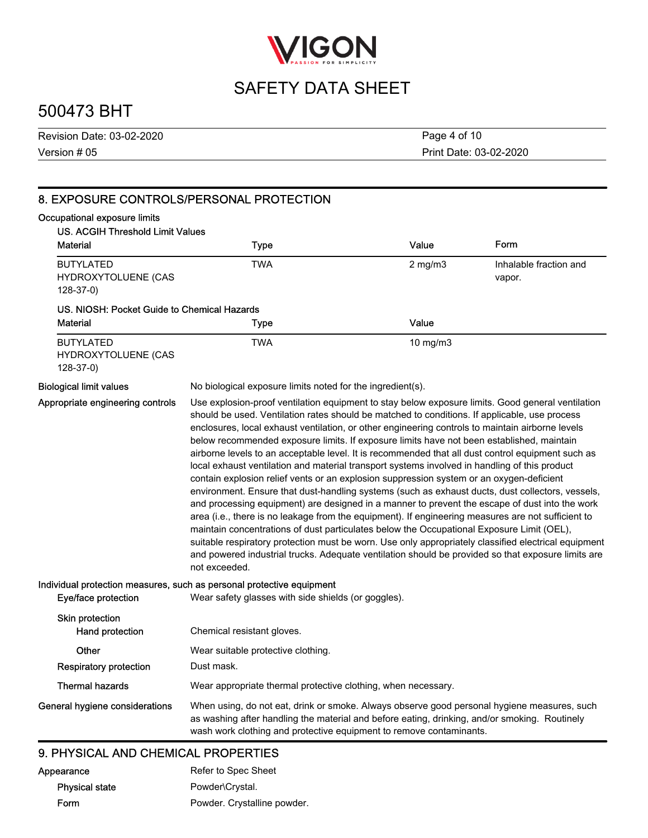

## 500473 BHT

Version # 05 Revision Date: 03-02-2020 Print Date: 03-02-2020 Page 4 of 10

| 8. EXPOSURE CONTROLS/PERSONAL PROTECTION                                |                                                                                                                                                                                                                                                                                                                                                                                                                                                                                                                                                                                                                                                                                                                                                                                                                                                                                                                                                                                                                                                                                                                                                                                                                                                                                                                                               |              |                                  |
|-------------------------------------------------------------------------|-----------------------------------------------------------------------------------------------------------------------------------------------------------------------------------------------------------------------------------------------------------------------------------------------------------------------------------------------------------------------------------------------------------------------------------------------------------------------------------------------------------------------------------------------------------------------------------------------------------------------------------------------------------------------------------------------------------------------------------------------------------------------------------------------------------------------------------------------------------------------------------------------------------------------------------------------------------------------------------------------------------------------------------------------------------------------------------------------------------------------------------------------------------------------------------------------------------------------------------------------------------------------------------------------------------------------------------------------|--------------|----------------------------------|
| Occupational exposure limits<br><b>US. ACGIH Threshold Limit Values</b> |                                                                                                                                                                                                                                                                                                                                                                                                                                                                                                                                                                                                                                                                                                                                                                                                                                                                                                                                                                                                                                                                                                                                                                                                                                                                                                                                               |              |                                  |
| <b>Material</b>                                                         | <b>Type</b>                                                                                                                                                                                                                                                                                                                                                                                                                                                                                                                                                                                                                                                                                                                                                                                                                                                                                                                                                                                                                                                                                                                                                                                                                                                                                                                                   | Value        | Form                             |
| <b>BUTYLATED</b><br>HYDROXYTOLUENE (CAS<br>$128-37-0$                   | <b>TWA</b>                                                                                                                                                                                                                                                                                                                                                                                                                                                                                                                                                                                                                                                                                                                                                                                                                                                                                                                                                                                                                                                                                                                                                                                                                                                                                                                                    | $2$ mg/m $3$ | Inhalable fraction and<br>vapor. |
| US. NIOSH: Pocket Guide to Chemical Hazards                             |                                                                                                                                                                                                                                                                                                                                                                                                                                                                                                                                                                                                                                                                                                                                                                                                                                                                                                                                                                                                                                                                                                                                                                                                                                                                                                                                               |              |                                  |
| Material                                                                | <b>Type</b>                                                                                                                                                                                                                                                                                                                                                                                                                                                                                                                                                                                                                                                                                                                                                                                                                                                                                                                                                                                                                                                                                                                                                                                                                                                                                                                                   | Value        |                                  |
| <b>BUTYLATED</b><br>HYDROXYTOLUENE (CAS<br>$128-37-0$                   | <b>TWA</b>                                                                                                                                                                                                                                                                                                                                                                                                                                                                                                                                                                                                                                                                                                                                                                                                                                                                                                                                                                                                                                                                                                                                                                                                                                                                                                                                    | 10 mg/m3     |                                  |
| <b>Biological limit values</b>                                          | No biological exposure limits noted for the ingredient(s).                                                                                                                                                                                                                                                                                                                                                                                                                                                                                                                                                                                                                                                                                                                                                                                                                                                                                                                                                                                                                                                                                                                                                                                                                                                                                    |              |                                  |
|                                                                         | Use explosion-proof ventilation equipment to stay below exposure limits. Good general ventilation<br>should be used. Ventilation rates should be matched to conditions. If applicable, use process<br>enclosures, local exhaust ventilation, or other engineering controls to maintain airborne levels<br>below recommended exposure limits. If exposure limits have not been established, maintain<br>airborne levels to an acceptable level. It is recommended that all dust control equipment such as<br>local exhaust ventilation and material transport systems involved in handling of this product<br>contain explosion relief vents or an explosion suppression system or an oxygen-deficient<br>environment. Ensure that dust-handling systems (such as exhaust ducts, dust collectors, vessels,<br>and processing equipment) are designed in a manner to prevent the escape of dust into the work<br>area (i.e., there is no leakage from the equipment). If engineering measures are not sufficient to<br>maintain concentrations of dust particulates below the Occupational Exposure Limit (OEL),<br>suitable respiratory protection must be worn. Use only appropriately classified electrical equipment<br>and powered industrial trucks. Adequate ventilation should be provided so that exposure limits are<br>not exceeded. |              |                                  |
|                                                                         | Individual protection measures, such as personal protective equipment                                                                                                                                                                                                                                                                                                                                                                                                                                                                                                                                                                                                                                                                                                                                                                                                                                                                                                                                                                                                                                                                                                                                                                                                                                                                         |              |                                  |
| Eye/face protection                                                     | Wear safety glasses with side shields (or goggles).                                                                                                                                                                                                                                                                                                                                                                                                                                                                                                                                                                                                                                                                                                                                                                                                                                                                                                                                                                                                                                                                                                                                                                                                                                                                                           |              |                                  |
| Skin protection<br>Hand protection                                      | Chemical resistant gloves.                                                                                                                                                                                                                                                                                                                                                                                                                                                                                                                                                                                                                                                                                                                                                                                                                                                                                                                                                                                                                                                                                                                                                                                                                                                                                                                    |              |                                  |
| Other                                                                   | Wear suitable protective clothing.                                                                                                                                                                                                                                                                                                                                                                                                                                                                                                                                                                                                                                                                                                                                                                                                                                                                                                                                                                                                                                                                                                                                                                                                                                                                                                            |              |                                  |
| <b>Respiratory protection</b>                                           | Dust mask.                                                                                                                                                                                                                                                                                                                                                                                                                                                                                                                                                                                                                                                                                                                                                                                                                                                                                                                                                                                                                                                                                                                                                                                                                                                                                                                                    |              |                                  |
| <b>Thermal hazards</b>                                                  | Wear appropriate thermal protective clothing, when necessary.                                                                                                                                                                                                                                                                                                                                                                                                                                                                                                                                                                                                                                                                                                                                                                                                                                                                                                                                                                                                                                                                                                                                                                                                                                                                                 |              |                                  |
| General hygiene considerations                                          | When using, do not eat, drink or smoke. Always observe good personal hygiene measures, such<br>as washing after handling the material and before eating, drinking, and/or smoking. Routinely<br>wash work clothing and protective equipment to remove contaminants.                                                                                                                                                                                                                                                                                                                                                                                                                                                                                                                                                                                                                                                                                                                                                                                                                                                                                                                                                                                                                                                                           |              |                                  |

### 9. PHYSICAL AND CHEMICAL PROPERTIES

| Appearance            | Refer to Spec Sheet         |
|-----------------------|-----------------------------|
| <b>Physical state</b> | Powder\Crystal.             |
| Form                  | Powder. Crystalline powder. |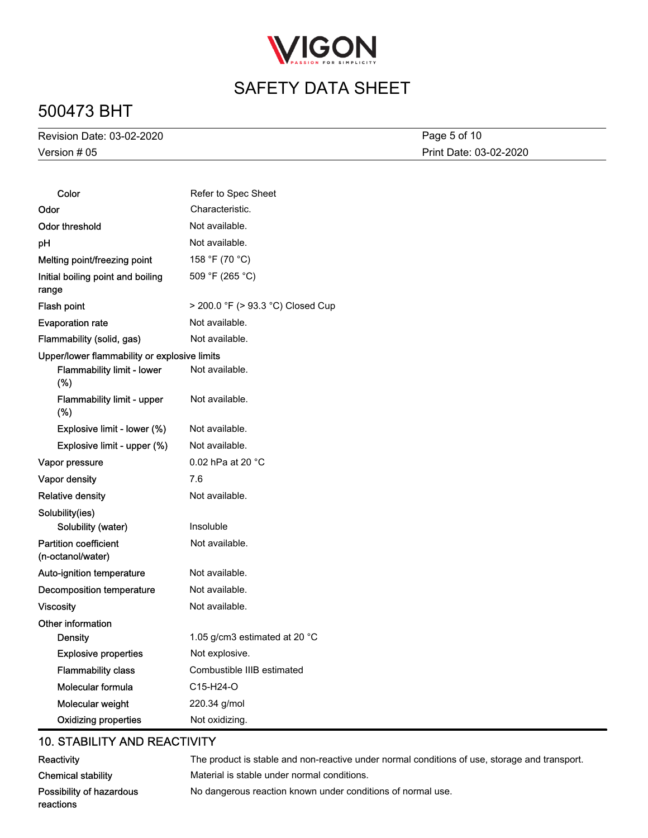

# 500473 BHT

Version # 05 Revision Date: 03-02-2020

Print Date: 03-02-2020 Page 5 of 10

| Color                                             | Refer to Spec Sheet                 |
|---------------------------------------------------|-------------------------------------|
| Odor                                              | Characteristic.                     |
| Odor threshold                                    | Not available.                      |
| рH                                                | Not available.                      |
| Melting point/freezing point                      | 158 °F (70 °C)                      |
| Initial boiling point and boiling<br>range        | 509 °F (265 °C)                     |
| Flash point                                       | > 200.0 °F (> 93.3 °C) Closed Cup   |
| <b>Evaporation rate</b>                           | Not available.                      |
| Flammability (solid, gas)                         | Not available.                      |
| Upper/lower flammability or explosive limits      |                                     |
| Flammability limit - lower<br>(%)                 | Not available.                      |
| Flammability limit - upper<br>(%)                 | Not available.                      |
| Explosive limit - lower (%)                       | Not available.                      |
| Explosive limit - upper (%)                       | Not available.                      |
| Vapor pressure                                    | 0.02 hPa at 20 °C                   |
| Vapor density                                     | 7.6                                 |
| <b>Relative density</b>                           | Not available.                      |
| Solubility(ies)                                   |                                     |
| Solubility (water)                                | Insoluble                           |
| <b>Partition coefficient</b><br>(n-octanol/water) | Not available.                      |
| Auto-ignition temperature                         | Not available.                      |
| Decomposition temperature                         | Not available.                      |
| <b>Viscosity</b>                                  | Not available.                      |
| Other information                                 |                                     |
| <b>Density</b>                                    | 1.05 g/cm3 estimated at 20 °C       |
| <b>Explosive properties</b>                       | Not explosive.                      |
| <b>Flammability class</b>                         | Combustible IIIB estimated          |
| Molecular formula                                 | C <sub>15</sub> -H <sub>24</sub> -O |
| Molecular weight                                  | 220.34 g/mol                        |
| <b>Oxidizing properties</b>                       | Not oxidizing.                      |

### 10. STABILITY AND REACTIVITY

| Reactivity                | The product is stable and non-reactive under normal conditions of use, storage and transport. |
|---------------------------|-----------------------------------------------------------------------------------------------|
| <b>Chemical stability</b> | Material is stable under normal conditions.                                                   |
| Possibility of hazardous  | No dangerous reaction known under conditions of normal use.                                   |
| reactions                 |                                                                                               |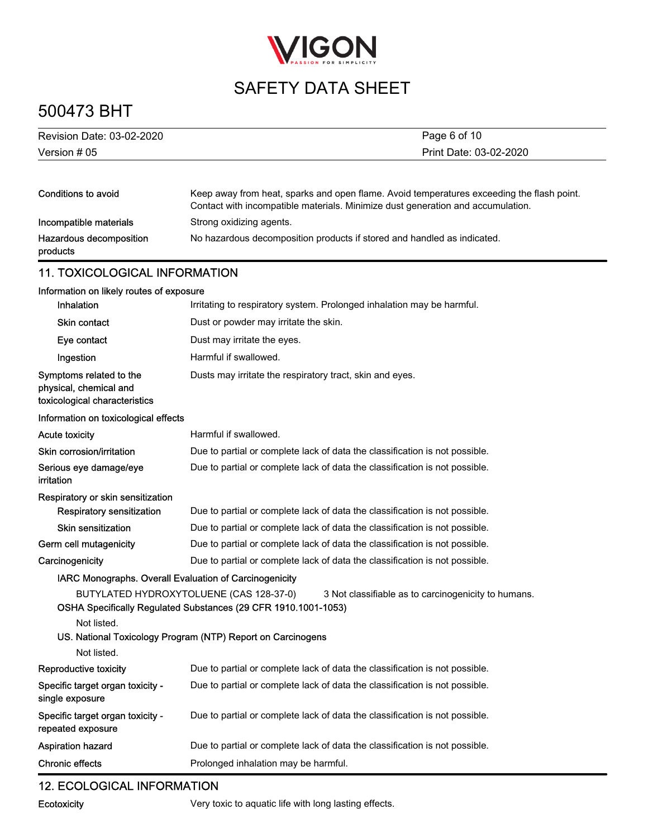

# 500473 BHT

| Revision Date: 03-02-2020                                                          | Page 6 of 10                                                                                                                                                                 |
|------------------------------------------------------------------------------------|------------------------------------------------------------------------------------------------------------------------------------------------------------------------------|
| Version # 05                                                                       | Print Date: 03-02-2020                                                                                                                                                       |
|                                                                                    |                                                                                                                                                                              |
| Conditions to avoid                                                                | Keep away from heat, sparks and open flame. Avoid temperatures exceeding the flash point.<br>Contact with incompatible materials. Minimize dust generation and accumulation. |
| Incompatible materials                                                             | Strong oxidizing agents.                                                                                                                                                     |
| Hazardous decomposition<br>products                                                | No hazardous decomposition products if stored and handled as indicated.                                                                                                      |
| <b>11. TOXICOLOGICAL INFORMATION</b>                                               |                                                                                                                                                                              |
| Information on likely routes of exposure                                           |                                                                                                                                                                              |
| Inhalation                                                                         | Irritating to respiratory system. Prolonged inhalation may be harmful.                                                                                                       |
| <b>Skin contact</b>                                                                | Dust or powder may irritate the skin.                                                                                                                                        |
| Eye contact                                                                        | Dust may irritate the eyes.                                                                                                                                                  |
| Ingestion                                                                          | Harmful if swallowed.                                                                                                                                                        |
| Symptoms related to the<br>physical, chemical and<br>toxicological characteristics | Dusts may irritate the respiratory tract, skin and eyes.                                                                                                                     |
| Information on toxicological effects                                               |                                                                                                                                                                              |
| <b>Acute toxicity</b>                                                              | Harmful if swallowed.                                                                                                                                                        |
| Skin corrosion/irritation                                                          | Due to partial or complete lack of data the classification is not possible.                                                                                                  |
| Serious eye damage/eye<br>irritation                                               | Due to partial or complete lack of data the classification is not possible.                                                                                                  |
| Respiratory or skin sensitization                                                  |                                                                                                                                                                              |
| Respiratory sensitization                                                          | Due to partial or complete lack of data the classification is not possible.                                                                                                  |
| <b>Skin sensitization</b>                                                          | Due to partial or complete lack of data the classification is not possible.                                                                                                  |
| Germ cell mutagenicity                                                             | Due to partial or complete lack of data the classification is not possible.                                                                                                  |
| Carcinogenicity                                                                    | Due to partial or complete lack of data the classification is not possible.                                                                                                  |
|                                                                                    | IARC Monographs. Overall Evaluation of Carcinogenicity                                                                                                                       |
| Not listed.                                                                        | BUTYLATED HYDROXYTOLUENE (CAS 128-37-0)<br>3 Not classifiable as to carcinogenicity to humans.<br>OSHA Specifically Regulated Substances (29 CFR 1910.1001-1053)             |
| Not listed.                                                                        | US. National Toxicology Program (NTP) Report on Carcinogens                                                                                                                  |
| Reproductive toxicity                                                              | Due to partial or complete lack of data the classification is not possible.                                                                                                  |
| Specific target organ toxicity -<br>single exposure                                | Due to partial or complete lack of data the classification is not possible.                                                                                                  |
| Specific target organ toxicity -<br>repeated exposure                              | Due to partial or complete lack of data the classification is not possible.                                                                                                  |
| Aspiration hazard                                                                  | Due to partial or complete lack of data the classification is not possible.                                                                                                  |
| <b>Chronic effects</b>                                                             | Prolonged inhalation may be harmful.                                                                                                                                         |

## 12. ECOLOGICAL INFORMATION

Ecotoxicity Very toxic to aquatic life with long lasting effects.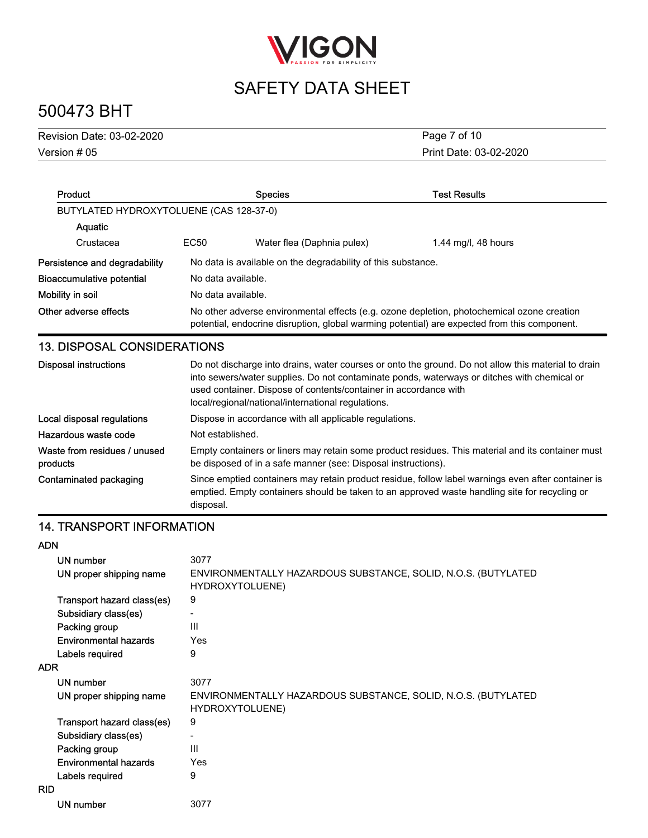

# 500473 BHT

| Version $#05$<br>Print Date: 03-02-2020 |  |
|-----------------------------------------|--|

| Product                                  |                                                                                                                                                                                                                                                                                                                              | <b>Species</b>                                                                                                                                                     | <b>Test Results</b> |  |  |
|------------------------------------------|------------------------------------------------------------------------------------------------------------------------------------------------------------------------------------------------------------------------------------------------------------------------------------------------------------------------------|--------------------------------------------------------------------------------------------------------------------------------------------------------------------|---------------------|--|--|
| BUTYLATED HYDROXYTOLUENE (CAS 128-37-0)  |                                                                                                                                                                                                                                                                                                                              |                                                                                                                                                                    |                     |  |  |
| Aquatic                                  |                                                                                                                                                                                                                                                                                                                              |                                                                                                                                                                    |                     |  |  |
| Crustacea                                | EC50                                                                                                                                                                                                                                                                                                                         | Water flea (Daphnia pulex)                                                                                                                                         | 1.44 mg/l, 48 hours |  |  |
| Persistence and degradability            | No data is available on the degradability of this substance.                                                                                                                                                                                                                                                                 |                                                                                                                                                                    |                     |  |  |
| Bioaccumulative potential                |                                                                                                                                                                                                                                                                                                                              | No data available.                                                                                                                                                 |                     |  |  |
| Mobility in soil                         |                                                                                                                                                                                                                                                                                                                              | No data available.                                                                                                                                                 |                     |  |  |
| Other adverse effects                    | No other adverse environmental effects (e.g. ozone depletion, photochemical ozone creation<br>potential, endocrine disruption, global warming potential) are expected from this component.                                                                                                                                   |                                                                                                                                                                    |                     |  |  |
| <b>13. DISPOSAL CONSIDERATIONS</b>       |                                                                                                                                                                                                                                                                                                                              |                                                                                                                                                                    |                     |  |  |
| <b>Disposal instructions</b>             | Do not discharge into drains, water courses or onto the ground. Do not allow this material to drain<br>into sewers/water supplies. Do not contaminate ponds, waterways or ditches with chemical or<br>used container. Dispose of contents/container in accordance with<br>local/regional/national/international regulations. |                                                                                                                                                                    |                     |  |  |
| Local disposal regulations               |                                                                                                                                                                                                                                                                                                                              | Dispose in accordance with all applicable regulations.                                                                                                             |                     |  |  |
| Hazardous waste code                     | Not established.                                                                                                                                                                                                                                                                                                             |                                                                                                                                                                    |                     |  |  |
| Waste from residues / unused<br>products |                                                                                                                                                                                                                                                                                                                              | Empty containers or liners may retain some product residues. This material and its container must<br>be disposed of in a safe manner (see: Disposal instructions). |                     |  |  |

Since emptied containers may retain product residue, follow label warnings even after container is emptied. Empty containers should be taken to an approved waste handling site for recycling or disposal. Contaminated packaging

## 14. TRANSPORT INFORMATION

#### ADN

|            | UN number<br>UN proper shipping name | 3077<br>ENVIRONMENTALLY HAZARDOUS SUBSTANCE, SOLID, N.O.S. (BUTYLATED<br>HYDROXYTOLUENE) |
|------------|--------------------------------------|------------------------------------------------------------------------------------------|
|            | Transport hazard class(es)           | 9                                                                                        |
|            | Subsidiary class(es)                 | -                                                                                        |
|            | Packing group                        | Ш                                                                                        |
|            | Environmental hazards                | Yes                                                                                      |
|            | Labels required                      | 9                                                                                        |
| <b>ADR</b> |                                      |                                                                                          |
|            | UN number                            | 3077                                                                                     |
|            | UN proper shipping name              | ENVIRONMENTALLY HAZARDOUS SUBSTANCE, SOLID, N.O.S. (BUTYLATED<br>HYDROXYTOLUENE)         |
|            | Transport hazard class(es)           | 9                                                                                        |
|            | Subsidiary class(es)                 |                                                                                          |
|            | Packing group                        | Ш                                                                                        |
|            | Environmental hazards                | Yes                                                                                      |
|            | Labels required                      | 9                                                                                        |
| <b>RID</b> |                                      |                                                                                          |
|            | UN number                            | 3077                                                                                     |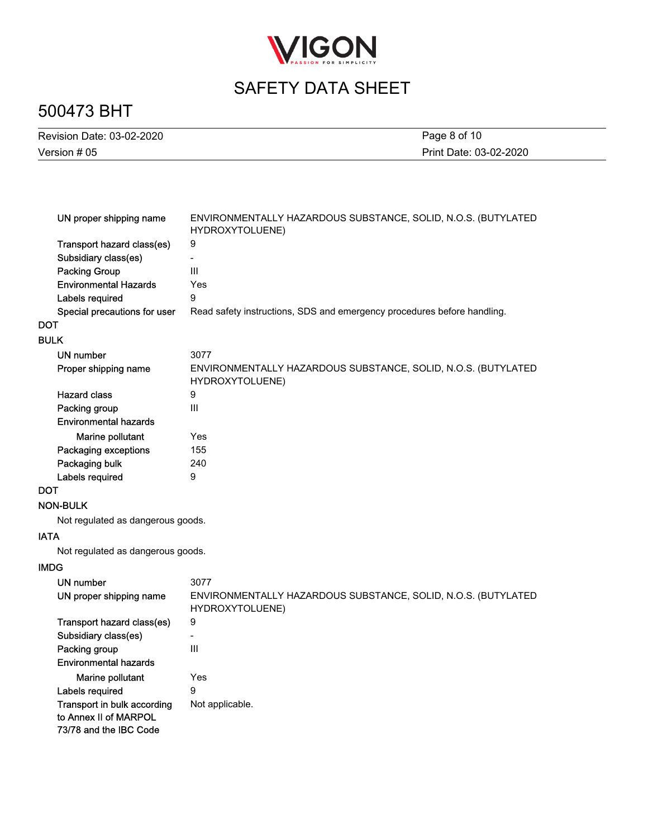

# 500473 BHT

| Revision Date: 03-02-2020 | Page 8 of 10           |
|---------------------------|------------------------|
| Version # 05              | Print Date: 03-02-2020 |

| UN proper shipping name           | ENVIRONMENTALLY HAZARDOUS SUBSTANCE, SOLID, N.O.S. (BUTYLATED<br>HYDROXYTOLUENE) |
|-----------------------------------|----------------------------------------------------------------------------------|
| Transport hazard class(es)        | 9                                                                                |
| Subsidiary class(es)              | ÷.                                                                               |
| <b>Packing Group</b>              | III                                                                              |
| <b>Environmental Hazards</b>      | Yes                                                                              |
| Labels required                   | 9                                                                                |
| Special precautions for user      | Read safety instructions, SDS and emergency procedures before handling.          |
| <b>DOT</b>                        |                                                                                  |
| <b>BULK</b>                       |                                                                                  |
| UN number                         | 3077                                                                             |
| Proper shipping name              | ENVIRONMENTALLY HAZARDOUS SUBSTANCE, SOLID, N.O.S. (BUTYLATED<br>HYDROXYTOLUENE) |
| <b>Hazard class</b>               | 9                                                                                |
| Packing group                     | III                                                                              |
| <b>Environmental hazards</b>      |                                                                                  |
| Marine pollutant                  | Yes                                                                              |
| Packaging exceptions              | 155                                                                              |
| Packaging bulk                    | 240                                                                              |
| Labels required                   | 9                                                                                |
| <b>DOT</b>                        |                                                                                  |
| <b>NON-BULK</b>                   |                                                                                  |
| Not regulated as dangerous goods. |                                                                                  |
| <b>IATA</b>                       |                                                                                  |
| Not regulated as dangerous goods. |                                                                                  |
| <b>IMDG</b>                       |                                                                                  |
| UN number                         | 3077                                                                             |
| UN proper shipping name           | ENVIRONMENTALLY HAZARDOUS SUBSTANCE, SOLID, N.O.S. (BUTYLATED<br>HYDROXYTOLUENE) |
| Transport hazard class(es)        | 9                                                                                |
| Subsidiary class(es)              | $\overline{\phantom{0}}$                                                         |
| Packing group                     | III                                                                              |
| <b>Environmental hazards</b>      |                                                                                  |
| Marine pollutant                  | Yes                                                                              |
| Labels required                   | 9                                                                                |
| Transport in bulk according       | Not applicable.                                                                  |
| to Annex II of MARPOL             |                                                                                  |
| 73/78 and the IBC Code            |                                                                                  |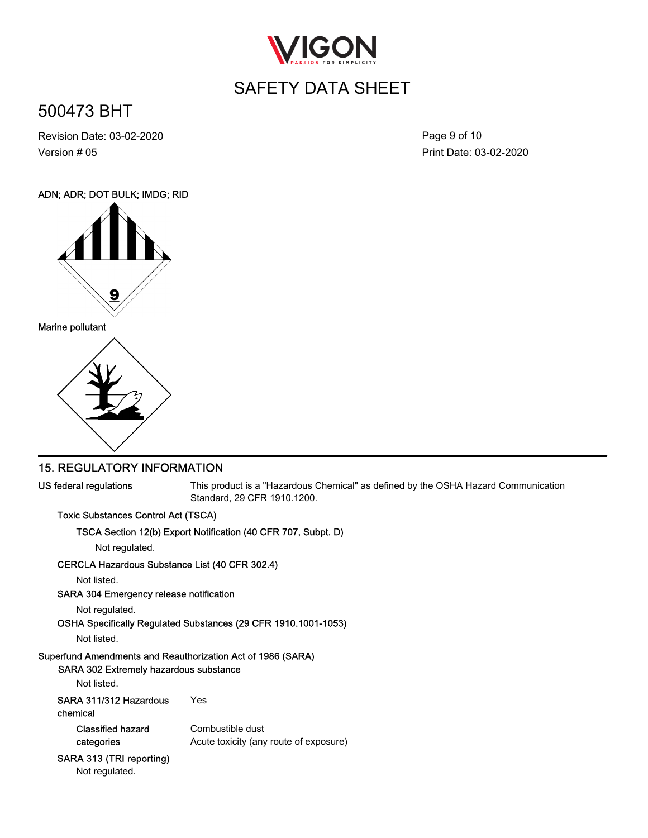

# 500473 BHT

Version # 05 Revision Date: 03-02-2020 Print Date: 03-02-2020 Page 9 of 10

#### ADN; ADR; DOT BULK; IMDG; RID



### 15. REGULATORY INFORMATION

US federal regulations

This product is a "Hazardous Chemical" as defined by the OSHA Hazard Communication Standard, 29 CFR 1910.1200.

#### Toxic Substances Control Act (TSCA)

#### TSCA Section 12(b) Export Notification (40 CFR 707, Subpt. D)

Not regulated.

### CERCLA Hazardous Substance List (40 CFR 302.4)

Not listed.

#### SARA 304 Emergency release notification

Not regulated.

```
OSHA Specifically Regulated Substances (29 CFR 1910.1001-1053)
```
Not listed.

### Superfund Amendments and Reauthorization Act of 1986 (SARA)

### SARA 302 Extremely hazardous substance

Not listed.

| chemical |  |
|----------|--|
|          |  |

Combustible dust Acute toxicity (any route of exposure) Classified hazard categories

### SARA 313 (TRI reporting)

Not regulated.